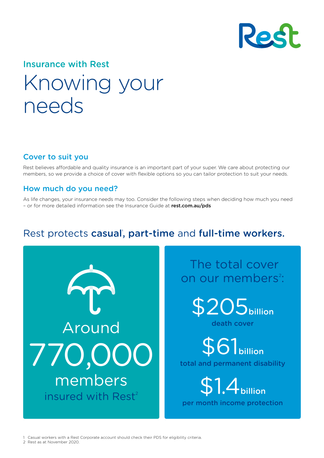

# Insurance with Rest

# Knowing your needs

### Cover to suit you

Rest believes affordable and quality insurance is an important part of your super. We care about protecting our members, so we provide a choice of cover with flexible options so you can tailor protection to suit your needs.

### How much do you need?

As life changes, your insurance needs may too. Consider the following steps when deciding how much you need - or for more detailed information see the Insurance Guide at [rest.com.au/pds](https://rest.com.au/member/tools/product-disclosure)

## Rest protects casual, part-time and full-time workers.



## The total cover on our members<sup>2</sup>:



S6<sup>1</sup>billion total and permanent disability

**\$1.4** billion per month income protection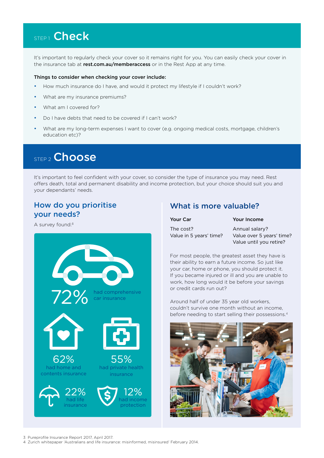## STEP<sub>1</sub> Check

It's important to regularly check your cover so it remains right for you. You can easily check your cover in the insurance tab at [rest.com.au/memberaccess](https://rest.com.au/super/login?modal=login) or in the Rest App at any time.

#### Things to consider when checking your cover include:

- How much insurance do I have, and would it protect my lifestyle if I couldn't work?
- What are my insurance premiums?
- What am I covered for?
- Do I have debts that need to be covered if I can't work?
- What are my long-term expenses I want to cover (e.g. ongoing medical costs, mortgage, children's education etc)?

## STEP<sub>2</sub> Choose

It's important to feel confident with your cover, so consider the type of insurance you may need. Rest offers death, total and permanent disability and income protection, but your choice should suit you and your dependants' needs.

### How do you prioritise your needs?

A survey found:3



### What is more valuable?

| Your Car                             | Your Income                                                            |
|--------------------------------------|------------------------------------------------------------------------|
| The cost?<br>Value in 5 years' time? | Annual salary?<br>Value over 5 years' time?<br>Value until you retire? |

For most people, the greatest asset they have is their ability to earn a future income. So just like your car, home or phone, you should protect it. If you became injured or ill and you are unable to work, how long would it be before your savings or credit cards run out?

Around half of under 35 year old workers, couldn't survive one month without an income, before needing to start selling their possessions.4



3 Pureprofile Insurance Report 2017, April 2017.

4 Zurich whitepaper 'Australians and life insurance: misinformed, misinsured' February 2014.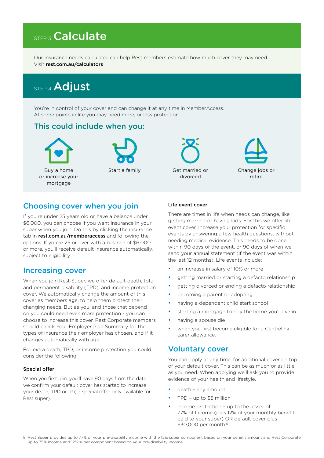## **STEP 3 Calculate**

Our insurance needs calculator can help Rest members estimate how much cover they may need. Visit [rest.com.au/calculators](https://rest.com.au/calculators)

## STEP 4 Adjust

You're in control of your cover and can change it at any time in MemberAccess. At some points in life you may need more, or less protection.

### This could include when you:



### Choosing cover when you join

If you're under 25 years old or have a balance under \$6,000, you can choose if you want insurance in your super when you join. Do this by clicking the insurance tab in **[rest.com.au/memberaccess](https://rest.com.au/memberaccess)** and following the options. If you're 25 or over with a balance of \$6,000 or more, you'll receive default insurance automatically, subject to eligibility.

### Increasing cover

When you join Rest Super, we offer default death, total and permanent disability (TPD), and income protection cover. We automatically change the amount of this cover as members age, to help them protect their changing needs. But as you, and those that depend on you could need even more protection - you can choose to increase this cover. Rest Corporate members should check Your Employer Plan Summary for the types of insurance their employer has chosen, and if it changes automatically with age.

For extra death, TPD, or income protection you could consider the following:

#### Special offer

When you first join, you'll have 90 days from the date we confirm your default cover has started to increase your death, TPD or IP (IP special offer only available for Rest super).

#### Life event cover

There are times in life when needs can change, like getting married or having kids. For this we offer life event cover. Increase your protection for specific events by answering a few health questions, without needing medical evidence. This needs to be done within 90 days of the event, or 90 days of when we send your annual statement (if the event was within the last 12 months). Life events include:

- an increase in salary of 10% or more
- getting married or starting a defacto relationship
- getting divorced or ending a defacto relationship
- becoming a parent or adopting
- having a dependent child start school
- starting a mortgage to buy the home you'll live in
- having a spouse die
- when you first become eligible for a Centrelink carer allowance.

### Voluntary cover

You can apply at any time, for additional cover on top of your default cover. This can be as much or as little as you need. When applying we'll ask you to provide evidence of your health and lifestyle.

- death any amount
- TPD up to \$5 million
- income protection up to the lesser of 77% of Income (plus 12% of your monthly benefit paid to your super) OR default cover plus \$30,000 per month.5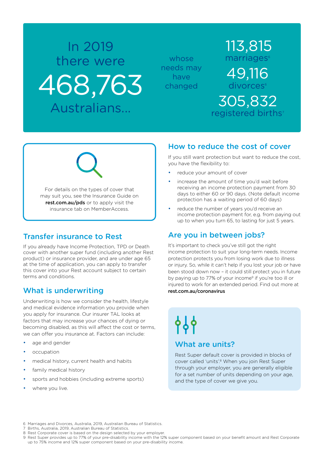# In 2019 there were 468,763 Australians...

whose needs may have changed

## 113,815 marriages<sup>®</sup> 49,116 divorces<sup>®</sup> 305,832 registered births<sup>7</sup>

For details on the types of cover that may suit you, see the Insurance Guide on [rest.com.au/pds](https://rest.com.au/member/tools/product-disclosure) or to apply visit the insurance tab on MemberAccess.

### Transfer insurance to Rest

If you already have Income Protection, TPD or Death cover with another super fund (including another Rest product) or insurance provider, and are under age 65 at the time of application, you can apply to transfer this cover into your Rest account subject to certain terms and conditions.

### What is underwriting

Underwriting is how we consider the health, lifestyle and medical evidence information you provide when you apply for insurance. Our insurer TAL looks at factors that may increase your chances of dying or becoming disabled, as this will affect the cost or terms, we can offer you insurance at. Factors can include:

- age and gender
- occupation
- medical history, current health and habits
- family medical history
- sports and hobbies (including extreme sports)
- where you live.

### How to reduce the cost of cover

If you still want protection but want to reduce the cost, you have the flexibility to:

- reduce your amount of cover
- increase the amount of time you'd wait before receiving an income protection payment from 30 days to either 60 or 90 days. (Note default income protection has a waiting period of 60 days)
- reduce the number of years you'd receive an income protection payment for, e.g. from paying out up to when you turn 65, to lasting for just 5 years.

### Are you in between jobs?

It's important to check you've still got the right income protection to suit your long-term needs. Income protection protects you from losing work due to illness or injury. So, while it can't help if you lost your job or have been stood down now – it could still protect you in future by paying up to 77% of your income<sup>9</sup> if you're too ill or injured to work for an extended period. Find out more at [rest.com.au/coronavirus](https://rest.com.au/member/manage/coronavirus-and-super)

# <u>የየ</u> What are units?

Rest Super default cover is provided in blocks of cover called 'units'.<sup>8</sup> When you join Rest Super through your employer, you are generally eligible for a set number of units depending on your age, and the type of cover we give you.

- 6 Marriages and Divorces, Australia, 2019, Australian Bureau of Statistics.
- Births, Australia, 2019, Australian Bureau of Statistics.
- 8 Rest Corporate cover is based on the design selected by your employer.
- 9 Rest Super provides up to 77% of your pre-disability income with the 12% super component based on your benefit amount and Rest Corporate up to 75% income and 12% super component based on your pre-disability income.